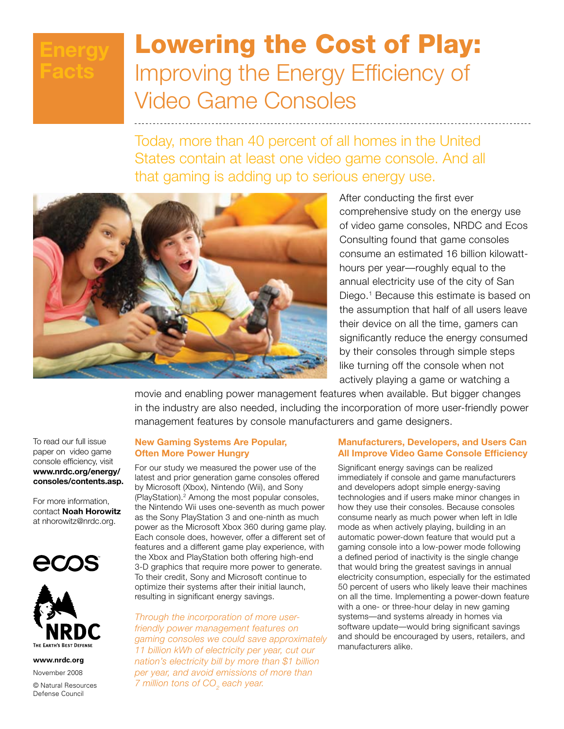## **Energy Facts**

# Lowering the Cost of Play: Improving the Energy Efficiency of Video Game Consoles

Today, more than 40 percent of all homes in the United States contain at least one video game console. And all that gaming is adding up to serious energy use.



After conducting the first ever comprehensive study on the energy use of video game consoles, NRDC and Ecos Consulting found that game consoles consume an estimated 16 billion kilowatthours per year—roughly equal to the annual electricity use of the city of San Diego.<sup>1</sup> Because this estimate is based on the assumption that half of all users leave their device on all the time, gamers can significantly reduce the energy consumed by their consoles through simple steps like turning off the console when not actively playing a game or watching a

movie and enabling power management features when available. But bigger changes in the industry are also needed, including the incorporation of more user-friendly power management features by console manufacturers and game designers.

To read our full issue paper on video game console efficiency, visit **www.nrdc.org/energy/ consoles/contents.asp.**

For more information, contact **Noah Horowitz** at nhorowitz@nrdc.org.





**www.nrdc.org**

November 2008

© Natural Resources Defense Council

## **New Gaming Systems Are Popular, Often More Power Hungry**

For our study we measured the power use of the latest and prior generation game consoles offered by Microsoft (Xbox), Nintendo (Wii), and Sony (PlayStation).2 Among the most popular consoles, the Nintendo Wii uses one-seventh as much power as the Sony PlayStation 3 and one-ninth as much power as the Microsoft Xbox 360 during game play. Each console does, however, offer a different set of features and a different game play experience, with the Xbox and PlayStation both offering high-end 3-D graphics that require more power to generate. To their credit, Sony and Microsoft continue to optimize their systems after their initial launch, resulting in significant energy savings.

*Through the incorporation of more userfriendly power management features on gaming consoles we could save approximately 11 billion kWh of electricity per year, cut our nation's electricity bill by more than \$1 billion per year, and avoid emissions of more than 7 million tons of CO<sub>2</sub> each year.* 

## **Manufacturers, Developers, and Users Can All Improve Video Game Console Efficiency**

Significant energy savings can be realized immediately if console and game manufacturers and developers adopt simple energy-saving technologies and if users make minor changes in how they use their consoles. Because consoles consume nearly as much power when left in Idle mode as when actively playing, building in an automatic power-down feature that would put a gaming console into a low-power mode following a defined period of inactivity is the single change that would bring the greatest savings in annual electricity consumption, especially for the estimated 50 percent of users who likely leave their machines on all the time. Implementing a power-down feature with a one- or three-hour delay in new gaming systems—and systems already in homes via software update—would bring significant savings and should be encouraged by users, retailers, and manufacturers alike.